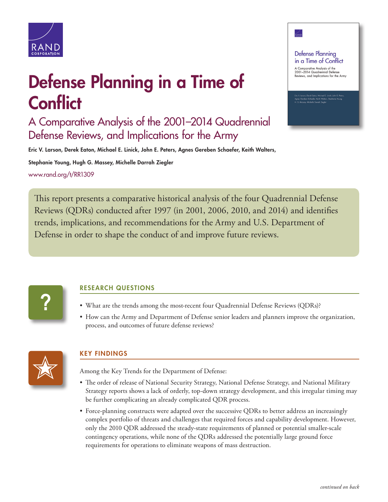

# Defense Planning in a Time of **Conflict**

A Comparative Analysis of the 2001–2014 Quadrennial Defense Reviews, and Implications for the Army

Eric V. Larson, Derek Eaton, Michael E. Linick, John E. Peters, Agnes Gereben Schaefer, Keith Walters,

Stephanie Young, Hugh G. Massey, Michelle Darrah Ziegler [www.rand.org/t/RR1309](http://www.rand.org/t/RR1309)

This report presents a comparative historical analysis of the four Quadrennial Defense Reviews (QDRs) conducted after 1997 (in 2001, 2006, 2010, and 2014) and identifies trends, implications, and recommendations for the Army and U.S. Department of Defense in order to shape the conduct of and improve future reviews.

**?**

## RESEARCH QUESTIONS

- What are the trends among the most-recent four Quadrennial Defense Reviews (QDRs)?
- How can the Army and Department of Defense senior leaders and planners improve the organization, process, and outcomes of future defense reviews?



## KEY FINDINGS

Among the Key Trends for the Department of Defense:

- The order of release of National Security Strategy, National Defense Strategy, and National Military Strategy reports shows a lack of orderly, top-down strategy development, and this irregular timing may be further complicating an already complicated QDR process.
- Force-planning constructs were adapted over the successive QDRs to better address an increasingly complex portfolio of threats and challenges that required forces and capability development. However, only the 2010 QDR addressed the steady-state requirements of planned or potential smaller-scale contingency operations, while none of the QDRs addressed the potentially large ground force requirements for operations to eliminate weapons of mass destruction.

**Defense Planning** in a Time of Conflict A Comparative Analysis of the<br>2001–2014 Quadrennial Defense<br>Reviews, and Implications for the Army